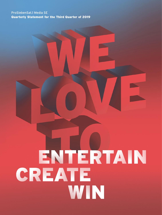# ProSiebenSat.1 Media SE Quarterly Statement for the Third Quarter of 2019

# ENTERTAIN CREATE WIN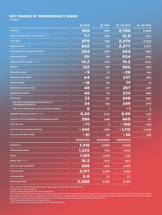# <span id="page-1-0"></span>KEY FIGURES OF PROSIEBENSAT.1 GROUP

**in EUR m**

|                                                                       | <b>Q3 2019</b> | <b>Q3 2018</b> | Q1-Q3 2019 | Q1-Q3 2018 |
|-----------------------------------------------------------------------|----------------|----------------|------------|------------|
| <b>Revenues</b>                                                       | 926            | 892            | 2,786      | 2,685      |
| Revenue margin before income taxes (in %)                             | 5.2            | 19.8           | 12.8       | 15.2       |
| <b>Total costs</b>                                                    | 870            | 782            | 2,474      | 2,332      |
| Operating costs <sup>1</sup>                                          | 802            | 721            | 2,277      | 2,071      |
| <b>Consumption of programming assets</b>                              | 204            | 209            | 654        | 660        |
| Adjusted EBITDA <sup>2</sup>                                          | 131            | 175            | 534        | 634        |
| Adjusted EBITDA margin (in %)                                         | 14.2           | 19.7           | 19.2       | 23.6       |
| <b>EBITDA</b>                                                         | 122            | 187            | 506        | 550        |
| Reconciling items <sup>3</sup>                                        | $-9$           | 12             | $-28$      | $-84$      |
| <b>Operating result (EBIT)</b>                                        | 64             | 133            | 337        | 393        |
| <b>Financial result</b>                                               | $-16$          | 44             | 20         | 14         |
| <b>Result before income taxes</b>                                     | 48             | 177            | 357        | 407        |
| Adjusted net income <sup>4</sup>                                      | 46             | 75             | 224        | 305        |
| Net income                                                            | 33             | 127            | 248        | 283        |
| Net income attributable to shareholders of<br>ProSiebenSat.1 Media SE | 34             | 126            | 249        | 279        |
| Net income attributable to non-controlling interests                  | O              | 1              | - 1        | 4          |
| Adjusted earnings per share (in EUR)                                  | 0.20           | 0.33           | 0.99       | 1.33       |
| Payments for the acquisition of programming assets                    | 286            | 248            | 865        | 711        |
| <b>Free cash flow</b>                                                 | $-71$          | 3              | $-150$     | $-140$     |
| <b>Cash flow from investing activities</b>                            | $-346$         | $-299$         | $-1,112$   | $-1,049$   |
| Free cash flow before M&A                                             | $-51$          | 22             | $-36$      | 105        |
|                                                                       | 09/30/2019     | 12/31/2018     | 09/30/2018 |            |
| Employees <sup>5</sup>                                                | 7,416          | 6,583          | 6,635      |            |
| <b>Programming assets</b>                                             | 1,222          | 1,113          | 1,242      |            |
| <b>Equity</b>                                                         | 1,165          | 1,070          | 1,151      |            |
| <b>Equity ratio</b> (in %)                                            | 18.2           | 16.5           | 18.5       |            |
| <b>Cash and cash equivalents</b>                                      | 609            | 1,031          | 1,000      |            |
| <b>Financial debt</b>                                                 | 3,197          | 3,194          | 3,190      |            |
| Leverage ratio <sup>6</sup>                                           | 2.8            | 2.1            | 2.1        |            |
| Net financial debt                                                    | 2,588          | 2,163          | 2,189      |            |

1 Total costs excl. EBITDA expense adjustments, depreciation, amortization, and impairments.

<sup>2</sup> EBITDA before reconciling items.

<sup>3</sup> EBITDA expense adjustments less income adjustments.

4 Net income attributable to shareholders of ProSiebenSat.1 Media SE before the amortization and impairments from purchase price allocations, adjusted for the reconciling items. These include valuation effects recognized in other financial result, valuation effects of put-options and earn-out liabilities, as well as valuation effects from interest rate hedging transactions. Moreover, the tax effects resulting from such adjustments are also adjusted. Annual Report 2018, page 85.

<sup>5</sup> Full-time equivalent positions as of reporting date.

6 Ratio net financial debt to adjusted EBITDA in the last twelve months.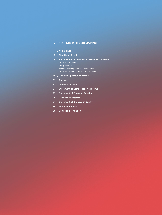# **[Key Figures of ProSiebenSat.1 Group](#page-1-0)**

# **[At a Glance](#page-3-0)**

- **[Significant Events](#page-4-0)**
- **[Business Performance of ProSiebenSat.1 Group](#page-5-0)**
- $6 -$  [Group Environment](#page-5-0)
- [Group Earnings](#page-7-0)
- **\_ [Business Development of the Segments](#page-11-0)**
- [Group Financial Position and Performance](#page-12-0)
- **[Risk and Opportunity Report](#page-18-0)**
- **[Outlook](#page-20-0)**
- **[Income Statement](#page-22-0)**
- **[Statement of Comprehensive Income](#page-23-0)**
- **[Statement of Financial Position](#page-24-0)**
- **[Cash Flow Statement](#page-25-0)**
- **[Statement of Changes in Equity](#page-26-0)**
- **[Financial Calendar](#page-27-0)**
- **[Editorial Information](#page-27-0)**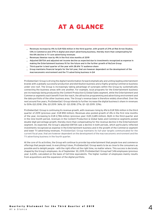# AT A GLANCE

- <span id="page-3-0"></span>\_ Revenues increase by 4% to EUR <sup>926</sup> million in the third quarter, with growth of 21% at Red Arrow Studios, 13% in Commerce and 37% in digital and smart advertising business, thereby more than compensating for the 6% decline in TV core advertising revenues
- \_ Revenues likewise rose by 4% in the first nine months of 2019
- $\perp$  Adjusted EBITDA and adjusted net income decline as expected due to investments recognized as expense in making the Entertainment business fit for the future and in the further growth of NuCom Group
- \_ Third quarter is best quarter of the year with 28.6% TV audience share
- \_ Group maintains financial targets for the full-year, that are however dependent on the development of the macroeconomic environment and the TV advertising business in Q4

ProSiebenSat.1 Group is driving the digital transformation forward emphatically and uniting leading entertainment brands with a globally successful production and distribution business and a highly growing Commerce business under one roof. The Group is increasingly taking advantage of synergies within the Group by systematically connecting the business areas with one another. For example, local programs for the Entertainment business are increasingly being produced by the Content Production & Global Sales segment, while the Entertainment and Commerce segments each benefit from the reach, the attractive programming and advertising environment and the data portfolio of the other business area. The Group's revenue base is therefore widely diversified. Over the next around five years, ProSiebenSat.1 Group intends to further increase the digital business's share in revenues to 50% (Q3 2018: 31%; Q3 2019: 36%; Q1 – Q3 2018: 27%; Q1 – Q3 2019: 33%).

ProSiebenSat.1 Group is continuing its revenue growth, with revenues rising by 4% to EUR 926 million in the third quarter of 2019 (previous year: EUR 892 million). Revenues also posted growth of 4% in the first nine months of the year, increasing to EUR 2,786 million (previous year: EUR 2,685 million). Both in the third quarter and in the nine-month period, revenues in the Content Production & Global Sales and Commerce segments posted double-digit percentage growth, thereby more than compensating for the revenue decline in the Entertainment segment. As expected, the Group's adjusted EBITDA saw a decline in both periods, which particularly reflected investments recognized as expense in the Entertainment business and in the growth of the Commerce segment and lower TV advertising revenues. ProSiebenSat.1 Group maintains its full-year targets communicated for the current fiscal year, that are however dependent on the development of the macroeconomic environment and the TV advertising business in the fourth quarter.

At the core of its activities, the Group will continue to provide top entertainment that people love and commerce offerings that people need. In everything it does, ProSiebenSat.1 Group wants to be as close to the consumers as possible and to delight people – with the right offers at the right time, no matter where. This success is decisively shaped by the Group's employees. As of September 30, 2019, ProSiebenSat.1 Group had 7,416 employees (previous year: 6,635), calculated on the basis of full-time equivalents. The higher number of employees mainly results from acquisitions and the expansion of the digital portfolio.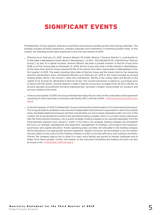# <span id="page-4-1"></span><span id="page-4-0"></span>SIGNIFICANT EVENTS

ProSiebenSat.1 Group regularly analyzes its portfolio and assesses possible growth and synergy potential. This strategy includes portfolio expansions, company disposals and investments in promising growth areas. In this context, the following events were significant in the first nine months of 2019:

- \_ Effective as of February 21, 2019, General Atlantic PD GmbH, Munich ("General Atlantic"), contributed its 41.6% stake in Marketplace GmbH, Berlin ("Marketplace"), to NCG – NUCOM GROUP SE, Unterföhring ("NuCom Group"), by way of a capital increase. General Atlantic has been a growth investor in NuCom Group since 2018; as of the closing date on December 31, 2018, NuCom Group also held a 41.6% interest in Marketplace. At the same time, NuCom Group acquired 10.5% of the shares from other shareholders of Marketplace in the first quarter of 2019. The newly resulting total stake of NuCom Group and the shares held by the remaining minority shareholders were contributed effective as of February 21, 2019 to the newly founded be Around Holding GmbH, Berlin ("be Around"). After this contribution, 94.0% of the voting rights and 80.0% of the capital of be Around are attributed to NuCom Group. The overall transaction is based on a purchase price of about EUR 130 million. General Atlantic's stake in NuCom Group thus increased from 25.1% to 28.4%. be Around operates Aroundhome (formerly Käuferportal), Germany's largest online broker for products and services related to the home.
- \_ In the second quarter of 2019, the Group extended the maturities for most of the syndicated credit agreement consisting of a term loan and a revolving credit facility (RCF) until April 2024.  $\rightarrow$  [Borrowings and Financing Structure,](#page-12-1) [page 13](#page-12-1)
- \_ In the third quarter of 2019, ProSiebenSat.1 Group continued the transformation of its Entertainment business. The Group decided to establish a new and more independent Entertainment organization in which the content areas, the digital platform businesses and their monetization are more closely integrated under one roof. In this context, the Group decided to transform the operating holding company, which is currently closely interwoven with the Entertainment business, into a purely strategic holding company to be reported separately from the Entertainment segment from January 1, 2020. In the future, the strategic holding company will strengthen the focus on strategic management and alignment, management of strategic core projects and measures, governance and capital allocation. Purely operating areas currently still allocated to the holding company will be allocated to the appropriate business segments. Support functions will be bundled in service centers and are subject to the control of the holding company in order to increase efficiency and customer proximity. Overall, the company expects this to allow it to react more flexibly and quickly to market challenges and to better drive future growth. Further information on the Executive Committee and holding structure can also be found in the  $\rightarrow$  [Annual Report 2018 from page 31](https://www.prosiebensat1.com/en/investor-relations/publications/annual-reports)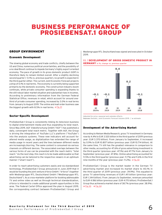# <span id="page-5-0"></span>BUSINESS PERFORMANCE OF PROSIEBENSAT.1 GROUP

# GROUP ENVIRONMENT

#### <span id="page-5-1"></span>Economic Development

The slowing global economy and trade conflicts, chiefly between the US and China, numerous political uncertainties, and the possibility of a no-deal Brexit continue to impede Germany's highly export-oriented economy. The pace of growth in its gross domestic product (GDP) is therefore likely to remain limited overall. After a slightly declining second quarter (–0.1% vs. previous quarter), no growth is expected in the third quarter either. The current Joint Economic Forecast projects a drop of 0.1% in real terms. The economy is currently being supported primarily by the domestic economy. The construction industry boom continues, while private consumer spending is expanding thanks to the still robust labor market situation and substantial rises in incomes. According to preliminary information from the German Federal Statistical Office, revenues in retail, which account for around onethird of private consumer spending, increased by 3.0% in real terms from January to August 2019. The online and mail order business saw the biggest growth with 8.5% in real terms.  $\rightarrow$  Fig. 01

# Sector-Specific Development

ProSiebenSat.1 Group is consistently linking its television business to digital entertainment media and thus expanding its total reach. Since May 2019, AGF Videoforschung GmbH ("AGF") has published a daily, convergent total reach metric. Together with AGF, the Group is driving the integration of YouTube LLC's platform ("YouTube") into the analysis systems. These new indicators will account for altered media usage, as digitalization has extended the range of media usage in recent years and the lines between different media are increasingly blurring. The same content is consumed via various channels on different devices. The associated overlaps between the various forms of use can be presented with the reach metric "total reach." As the next step, this reach is to be made addressable so that advertising can be tailored to the respective viewers in an optimum manner ("smart reach").

In order to reach advertising customers easily and via standardized technology, ProSiebenSat.1 Group announced in June 2019 that it would be founding the joint venture d-force GmbH ( "d-force") together with Mediengruppe RTL Deutschland GmbH ("Mediengruppe RTL Deutschland"). As a cross-marketer platform for booking addressable TV and online video as well as through technical standardization, d-force is intended to create additional growth opportunities in this area. The Federal Cartel Office approved the plan in August 2019, the corresponding contract between ProSiebenSat.1 Group and

Mediengruppe RTL Deutschland was signed and executed in October 2019.

## 01 / DEVELOPMENT OF GROSS DOMESTIC PRODUCT IN GERMANY in %, change vs. previous quarter



Adjusted for price, seasonal and calendar effects.

**Sources:** Destatis, Joint Economic Forecast Autumn 2019. / **e:** estimate

# <span id="page-5-2"></span>Development of the Advertising Market

According to Nielsen Media Research, gross TV investment in Germany rose by 4.4% to EUR 3.520 billion in the third quarter of 2019 (previous year: EUR 3.370 billion). From January to September, it increased by 0.9% to EUR 10.807 billion (previous year: EUR 10.714 billion). At the same time, TV still has the greatest relevance in comparison to other media, accounting for 47.6% of gross advertising investment in the third quarter (previous year: 47.1%) and 47.7% from January to September (previous year: 47.8%). Online advertising accounted for 11.5% in the third quarter (previous year: 11.7%) and 11.6% in the first nine months of the year (previous year: 11.2%).  $\rightarrow$  [Fig. 02](#page-6-0)

ProSiebenSat.1 Group is the market leader in the German TV advertising market and increased its market share to 40.1% in the third quarter of 2019 (previous year: 39.9%). This equated to gross TV advertising revenues of EUR 1.411 billion (previous year: EUR 1.344 billion). From January to September, revenues amounted to EUR 4.186 billion (previous year: EUR 4.170 billion). ProSiebenSat.1 Group thus achieved a market share of 38.7% (previous year: 38.9%).  $\rightarrow$  Fig. 03  $\rightarrow$  [Fig. 04](#page-6-0)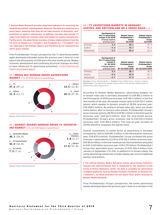**Nielsen Media Research provides important indicators for assessing the advertising market's development. However, the data are collected on a gross basis, meaning that they do not take account of discounts, selfpromotion or agency commission. In addition, the data also include TV spots from media-for-revenue-share and media-for-equity transactions. Furthermore, the advertising revenues of major digital players from the US such as Google LLC ("Google") and Facebook Inc. ("Facebook") are not reflected in the Nielsen figures and therefore do not represent the entire gross market.**

From ProSiebenSat.1 Group's perspective, the TV advertising market again developed noticeably below the previous year's level on a net basis in the third quarter of 2019 and in the nine-month period. Weaker economic development and continuing structural changes are likely to have influenced TV advertising investment.  $\rightarrow$  [Future Business and](#page-20-1) [Industry Environment, page 21](#page-20-1)

# <span id="page-6-0"></span>02 / MEDIA MIX GERMAN GROSS ADVERTISING

MARKET in %, Q3 2018 figures in parentheses



**Source:** Nielsen Media Research.

#### 03 / MARKET SHARES GERMAN GROSS TV ADVERTIS-ING MARKET in %, Q3 2018 figures in parentheses



**Source:** Nielsen Media Research.

#### 04 / TV ADVERTISING MARKETS IN GERMANY, AUSTRIA AND SWITZERLAND ON A GROSS BASIS in %

|             | Development of<br>the TV advertising<br>market in Q3 2019<br>(Change against<br>previous year) | <b>Market shares</b><br>ProSiebenSat.1<br>Group<br>03 2019 | <b>Market shares</b><br><b>ProSiebenSat.1</b><br>Group<br>03 2018 |
|-------------|------------------------------------------------------------------------------------------------|------------------------------------------------------------|-------------------------------------------------------------------|
| Germany     | 4.4                                                                                            | 40.1                                                       | 39.9                                                              |
| Austria     | $-3.3$                                                                                         | 44.7                                                       | 43.0                                                              |
| Switzerland | $-3.3$                                                                                         | 28.2                                                       | 24.3                                                              |

| 0.9<br>38.9<br>38.7<br>Germany<br>Austria<br>$-0.6$<br>43.2<br>44.8<br>Switzerland<br>27.9<br>$-2.7$<br>26.3 | Development of<br>the TV advertising<br>market in<br>01-03 2019<br>(Change against<br>previous year) | <b>Market shares</b><br><b>ProSiebenSat.1</b><br>Group<br>01-03 2019 2019 | <b>Market shares</b><br>ProSiebenSat.1<br>Group<br>01-03 2019 2018 |
|--------------------------------------------------------------------------------------------------------------|------------------------------------------------------------------------------------------------------|---------------------------------------------------------------------------|--------------------------------------------------------------------|
|                                                                                                              |                                                                                                      |                                                                           |                                                                    |
|                                                                                                              |                                                                                                      |                                                                           |                                                                    |
|                                                                                                              |                                                                                                      |                                                                           |                                                                    |

**Germany:** Gross, Nielsen Media. / **Austria:** Gross, Media Focus; January–August. **Switzerland :** The advertising market shares relate to the German-speaking part of Switzerland; gross, Media Focus.

According to Nielsen Media Research, advertising budgets for in-stream video ads in Germany amounted to EUR 180.2 million in the third quarter of 2019 (previous year: EUR 146.3 million). In the first nine months of the year, the market volume came to EUR 525.7 million (gross), which equates to dynamic growth of 28.9% (previous year: EUR 408.0 million). By selling in-stream video ads, which are shown online before, after or during a video stream, ProSiebenSat.1 Group's gross revenues grew by 28.9% to EUR 85.1 million in the third quarter (previous year: EUR 66.0 million). Over the nine-month period, ProSiebenSat.1 Group's gross revenues rose to EUR 251.5 million (previous year: EUR 186.4 million). The year-on-year increase of 34.9% therefore surpasses the market trend.

Overall, investments in online forms of advertising in Germany increased by 1.6% to EUR 851.3 million in the third quarter (previous year: EUR 837.6 million). ProSiebenSat.1 Group increased the gross revenues it generated by 22.2% to EUR 106.0 million (previous year: EUR 86.8 million). In the nine-month period, the investments amounted to EUR 2.624 billion (previous year: EUR 2.511 billion). ProSiebenSat.1 Group thus generated gross revenues of EUR 306.4 million from January to September (+ 21.2%). In addition to in-stream videos, the online advertising market also includes display ads such as traditional banners and buttons.

**The official Nielsen Media Research online advertising statistics include only advertisement that is displayed on the websites of the Circle of Online Marketers (OVK). No data is available for advertising on digital platforms such as Google/YouTube, Facebook, or Amazon Inc. ("Amazon"), as these providers do not report their gross revenues to Nielsen Media Research.**

From ProSiebenSat.1 Group's perspective, the online advertising market developed above the previous year's level on a net basis in the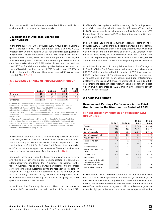<span id="page-7-0"></span>third quarter and in the first nine months of 2019. This is particularly attributable to the growing in-stream market.

#### Development of Audience Shares and User Numbers

In the third quarter of 2019, ProSiebenSat.1 Group's seven German free TV stations – SAT.1, ProSieben, Kabel Eins, sixx, SAT.1 GOLD, ProSieben MAXX and Kabel Eins Doku – had their strongest quarter of the year with a 28.6% market share among 14- to 49-year-old viewers (previous year: 28.8%). Over the nine-month period as a whole, the positive development continues. Here, the group of stations has a combined market share of 28.3%, a clear increase on the previous year's 27.5%. The stations marketed by IP Deutschland had a market share of 26.0% in the third quarter of 2019 (previous year: 23.4%). In the first nine months of the year, their share came to 25.9% (previous year: 24.2%).  $\rightarrow$  Fig. 05

#### 05 / AUDIENCE SHARES OF PROSIEBENSAT.1 GROUP in %

|             | 03 2019 | <b>Q3 2018</b> | $Q1 - Q3$<br>2019 | $Q1 - Q3$<br>2018 |
|-------------|---------|----------------|-------------------|-------------------|
| Germany     | 28.6    | 28.8           | 28.3              | 27.5              |
| Austria     | 29.7    | 28.6           | 28.2              | 28.3              |
| Switzerland | 17.8    | 17.3           | 17.9              | 17.2              |

**Germany:** ProSiebenSat.1 Group: SAT.1, ProSieben, Kabel Eins, sixx, SAT.1 GOLD, ProSieben MAXX, Kabel Eins Doku; AGF Videoforschung in cooperation with GfK; videoSCOPE 1.2, January 1, 2018 – September 30, 2019; market standard: TV; calculated on October 8, 2019; target group: 14–49.

**Austria:** AGTT/GfK TELETEST; Evogenius Reporting; January 1, 2018 – September 30, 2019; weighted for number of people; including VOSDAL/time-shift; standard; target group: 12–49.

**Switzerland:** Figures are based on 24 hours (Mon–Sun). SAT.1 Schweiz, ProSieben Schweiz, Kabel Eins Schweiz, sixx Schweiz, SAT.1 GOLD Schweiz, ProSieben MAXX Schweiz, Puls 8; anuary 1, 2018 – September 30, 2019; market shares relate to the German-speaking part of Switzerland; total signal; source: Mediapulse TV Panel; advertising-relevant target group 15–49.

ProSiebenSat.1 Group also offers a complementary portfolio of various advertising-financed free TV stations in Austria and Switzerland, which the Group has recently expanded further. September 1, 2019, saw the launch of PULS 24, ProSiebenSat.1 Group's fourth Austriaonly TV station, and an app of the same name. The offerings focus on news, business, live events and Austrian content.  $\rightarrow$  Fig. XX

Alongside increasingly specific, targeted approaches to viewers and the sale of advertising spots, digitalization is opening up additional revenue models for the TV business. For instance, in the free TV business, ProSiebenSat.1 Group participates in the technical service fees that end customers pay to the respective providers for programs in HD quality. As of September 2019, the number of HD users in Germany had increased by 7% to 9.9 million (previous year: 9.2 million). ProSiebenSat.1 Group also broadcasts its programs in HD quality in Austria and Switzerland.

In addition, the Company develops offers that incorporate various platforms based on the main medium of TV. In June 2019, ProSiebenSat.1 Group launched its streaming platform Joyn GmbH ("Joyn") in cooperation with Discovery Inc. ("Discovery"). According to AGOF measurements (Arbeitsgemeinschaft Onlineforschung e.V.), the platform already reached 1.55 million unique users in Germany in September 2019.

Digital-Studio Studio71 is a further essential component of ProSiebenSat.1 Group's portfolio. It pools the Group's digital content offerings and distributes them via digital platforms. With 10.2 billion video views per month in the third quarter of 2019 (previous year: 9.5 billion video views) and over 10.0 billion video views a month from January to September (previous year: 9.1 billion video views), Digital-Studio Studio71 is one of the world's leading multi-platform networks.

Also driven by growth of the digital viewtime of its offerings by 21.8%, ProSiebenSat.1 Group recorded a total video viewtime of 252,897 million minutes in the third quarter of 2019 (previous year: 259,771 million minutes). This figure represents the total number of minutes viewed on the linear channels and digital entertainment platforms of the Group. With this development, the Group did not fully compensate the decline in linear reach. In the nine-month period, total video viewtime amounted to 792,861 million minutes (previous year: 801,197 million minutes).

# <span id="page-7-1"></span>GROUP EARNINGS

#### Revenue and Earnings Performance in the Third Quarter and in the Nine-months Period of 2019

#### 06 / SELECTED KEY FIGURES OF PROSIEBENSAT.1 GROUP in EUR m

|                                               |         |                | $Q1 - Q3$ | Q1-Q3  |
|-----------------------------------------------|---------|----------------|-----------|--------|
|                                               | Q3 2019 | <b>Q3 2018</b> | 2019      | 2018   |
| Revenues                                      | 926     | 892            | 2,786     | 2,685  |
| Total costs                                   | 870     | 782            | 2,474     | 2,332  |
| Operating costs                               | 802     | 721            | 2,277     | 2,071  |
| Operating result (EBIT)                       | 64      | 133            | 337       | 393    |
| Adjusted EBITDA                               | 131     | 175            | 534       | 634    |
| Reconciling items                             | $-9$    | 12             | $-28$     | $-84$  |
| EBITDA                                        | 122     | 187            | 506       | 550    |
| <b>Financial result</b>                       | $-16$   | 44             | 20        | 14     |
| Result before income                          |         |                |           |        |
| taxes                                         | 48      | 177            | 357       | 407    |
| Income taxes                                  | $-15$   | $-49$          | $-109$    | $-124$ |
| Net income                                    | 33      | 127            | 248       | 283    |
| Net income attributable<br>to shareholders of |         |                |           |        |
| ProSiebenSat.1 Media SE                       | 34      | 126            | 249       | 279    |
| Adjusted net income                           | 46      | 75             | 224       | 305    |

ProSiebenSat.1 Group's **revenues** amounted to EUR 926 million in the third quarter of 2019, up 4% or EUR 34 million year-on-year (previous year: EUR 892 million). Adjusted for consolidation and currency effects, the increase in revenues was 3%. The Content Production & Global Sales and Commerce segments both posted revenue growth of a double-digit percentage and thus more than compensated for the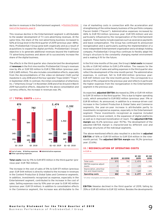decline in revenues in the Entertainment segment.  $\rightarrow$  [Business Develop](#page-11-1)[ment of the Segments, page 12](#page-11-1)

This revenue decline in the Entertainment segment is attributable to the weaker development of TV core advertising revenues. At the same time, the share of the non-advertising business increased to 52% at Group level in the third quarter of 2019 (previous year: 48%). Here, ProSiebenSat.1 Group grew both organically and as a result of acquisitions to expand the digital portfolio. ProSiebenSat.1 Group's objective is to generate additional revenues beyond the traditional TV advertising business and above all to successively increase the share of the digital business.

The effects in the third quarter also characterized the development of **revenues** in the first nine months: ProSiebenSat.1 Group's revenues rose by 4% or EUR 100 million to EUR 2,786 million (previous year: EUR 2,685 million). This also includes consolidation effects, especially from the deconsolidations of the video-on-demand (VoD) portal maxdome in July 2018 and of the tour operator Tropo GmbH ("Tropo") in September 2018. In contrast, the initial consolidation of eHarmony Inc. ("eHarmony Group") in November 2018 and of be Around in March 2019 had positive effects. Adjusted for the above consolidation and currency effects, the increase in revenues was 3%.



#### 07 / TOTAL COSTS in EUR m

 $\blacksquare$  Cost of sales  $\blacksquare$  Selling expenses  $\blacksquare$  Administrative expenses Other operating expenses

**Total costs** rose by 11% to EUR 870 million in the third quarter (previous year: EUR 782 million).

The increase in the cost of sales of 5% to EUR 571 million (previous year: EUR 544 million) is directly related to the increase in revenues in the Content Production & Global Sales and Commerce segments. In addition, investments recognized as expense, especially in the Entertainment segment, contributed to the increase in the cost of sales. Selling expenses rose by 10% year-on-year to EUR 143 million (previous year: EUR 131 million). In addition to consolidation effects in the Commerce segment, the increase was attributable to the

rise of marketing costs in connection with the acceleration and strengthening of the online beauty business of the portfolio company Flaconi GmbH ("Flaconi"). Administrative expenses increased by 46% to EUR 153 million (previous year: EUR 105 million) and are particularly influenced by the reorganization of the Entertainment segment. These mainly include expenses such as severance payments and leave compensation. The Group has continued its announced reorganization and is particularly pushing the implementation of a more independent Entertainment organization and a strategic holding company. ProSiebenSat.1 Group thus continues to flexibly adapt the Group's structure to the constantly changing market environment and is making it fit for the future.

In the first nine months of the year, the Group's **total costs** increased by 6% or EUR 142 million to EUR 2,474 million. The reasons for the increase in cost of sales and selling expenses in the third quarter also reflect the development of the nine-month period. The administrative expenses, in contrast, fell to EUR 404 million (previous year: EUR 447 million) over the nine-month period. This corresponds to a decline of 9% compared to the previous year and reflects in particular the higher expenses from the reorganization in the Entertainment segment in the previous year.

As expected, **adjusted EBITDA** decreased by 25% or EUR 44 million to EUR 131 million in the third quarter. This is due to higher operating costs, which amounted to EUR 802 million (previous year: 11% or EUR 81 million). As announced, in addition to a revenue-driven cost increase in the Content Production & Global Sales and Commerce segments, the year-on-year increase is attributable partly to investments recognized as expense, especially in the Entertainment segment. These investments recognized as expense included investments in local content, in the expansion of digital platforms as well as in improved monetization of reach. The **adjusted EBITDA margin** was 14.2% (previous year: 19.7%). The development of the adjusted EBITDA margin is characterized by different cost and earnings structures of the individual segments.

The above-mentioned effects also resulted in a decline in **adjusted EBITDA** of 16% or EUR 101 million to EUR 534 million in the ninemonth period. The **adjusted EBITDA margin** was 19.2% (previous year: 23.6%).

# 08 / RECONCILIATION OF OPERATING COSTS

in EUR m

|                                                              | Q3 2019 | 03 2018 | $Q1 - Q3$<br>2019 | $Q1 - Q3$<br>2018 |
|--------------------------------------------------------------|---------|---------|-------------------|-------------------|
| Total costs                                                  | 870     | 782     | 2,474             | 2,332             |
| EBITDA expense adjust-<br>ments                              | $-9$    | $-7$    | $-29$             | $-104$            |
| Depreciation, amortiza-<br>tion and impairments <sup>1</sup> | $-58$   | $-54$   | $-169$            | $-157$            |
| <b>Operating costs</b>                                       | 802     | 721     | 2,277             | 2.071             |

1 Of other intangible and tangible assets.

**EBITDA** likewise declined in the third quarter of 2019, falling by 35% or EUR 65 million to EUR 122 million. Besides the developments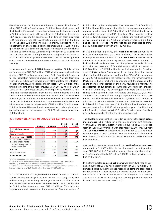described above, this figure was influenced by reconciling items of minus EUR 9 million (previous year: EUR 12 million), which comprised the following: Expenses in connection with reorganizations amounted to EUR 31 million, primarily attributable to the Entertainment segment. M&A projects resulted in expenses of EUR 1 million (previous year: EUR 7 million). Other EBITDA effects amounted to EUR 1 million (previous year: EUR 18 million). This item mainly includes fair value adjustments of share-based payments amounting to EUR 1 million (previous year: EUR 2 million). Expenses from material one-time items affecting EBITDA of minus EUR 1 million (previous year: EUR –2 million) and valuation effects relating to strategic realignments of business units of EUR 22 million (previous year: EUR 0 million) had an opposite effect. This is connected with the development of the programming strategy.

In the nine-month period, **EBITDA** decreased by 8% or EUR 44 million and amounted to EUR 506 million. EBITDA includes reconciling items of minus EUR 28 million (previous year: EUR –84 million). Expenses for reorganization measures amounted to EUR 47 million (previous year: EUR 63 million), which were largely attributable to the Entertainment segment. M&A projects resulted in costs of EUR 5 million in the first nine months of the year (previous year: EUR 30 million). Other EBITDA effects amounted to EUR 2 million (previous year: EUR 9 million). This included expenses from material one-time items affecting EBITDA of minus EUR 3 million (previous year: EUR – 13 million). The previous year's figure was impacted by expenses of other accounting periods in the Entertainment and Commerce segments. Fair value adjustments of share-based payments of EUR 4 million (previous year: EUR 2 million) and the mentioned valuation effects relating to strategic realignments of business units of EUR 22 million (previous year: EUR 0 million).

|                                                              | 03 2019 | 03 2018         | $Q1 - Q3$<br>2019 | Q1-Q3<br>2018 |
|--------------------------------------------------------------|---------|-----------------|-------------------|---------------|
| Result before income<br>taxes                                | 48      | 177             | 357               | 407           |
| Financial result                                             | $-16$   | 44              | 20                | 14            |
| <b>Operating result (EBIT)</b>                               | 64      | 133             | 337               | 393           |
| Depreciation, amortiza-<br>tion and impairments <sup>1</sup> | $-58$   | $-54$           | $-169$            | $-157$        |
| thereof from purchase<br>price allocations                   | $-12$   | $-12$           | $-37$             | $-36$         |
| <b>EBITDA</b>                                                | 122     | 187             | 506               | 550           |
| Reconciling items                                            | $-92$   | 12 <sup>2</sup> | $-283$            | $-843$        |
| <b>Adjusted EBITDA</b>                                       | 131     | 175             | 534               | 634           |

#### 09 / RECONCILIATION OF ADJUSTED EBITDA in EUR m

1 Of other intangible and tangible assets.

<sup>2</sup> EBITDA expense adjustments of EUR 9 million (previous year: EUR 7 million) less income adjustments of EUR 0 million (previous year: EUR 18 million).

<sup>3</sup> EBITDA expense adjustments of EUR 29 million (previous year: EUR 104 million) less

income adjustments of EUR 0 million (previous year: EUR 19 million).

In the third quarter of 2019, the **financial result** amounted to minus EUR 16 million (previous year: EUR 44 million). The change compared to the same quarter of the previous year is mainly attributable to the development of the **other financial result**, which amounted to EUR 4 million (previous year: EUR 62 million). This includes impairments and reversals of impairment on financial assets of EUR 2 million in the third quarter (previous year: EUR 64 million). EUR 1 million of this was attributable to the reassessment of putoptions (previous year: EUR 54 million) and EUR 0 million to earnout liabilities (previous year: EUR – 11 million). Other financing costs of minus EUR 2 million (previous year: –2 million) and results of currency conversion of minus EUR 4 million (previous year: EUR 0 million) had an opposite effect. The **interest result** amounted to minus EUR 16 million (previous year: EUR – 15 million).

In the nine-month period, the **financial result** amounted to EUR 20 million (previous year: EUR 14 million). This is attributable to the positive development of the **other financial result**, which amounted to EUR 84 million (previous year: EUR 77 million). It includes impairments and reversals of impairment as well as income from the reassessment of financial assets, which increased by EUR 20 million to EUR 104 million in the first nine months (previous year: EUR 84 million). These result in particular from the sale of shares in the global video service Pluto Inc. ("Pluto") in the amount of EUR 22 million and from the reassessment of the former shares in Marketplace (EUR 27 million) in connection with the increase in the share and full consolidation of the newly founded be Around. The reassessment of put options accounted for EUR 41 million (previous year: EUR 78 million). The two biggest items were the valuation of shares in the US film distributor Gravitas Ventures, LLC ("Gravitas Ventures") as a result of the changed expectations for future cash inflows and the valuation of shares in Digital-Studio Studio71. In addition, the valuation effects from earn-out liabilities increased to EUR 20 million (previous year: EUR -11 million). Results of currency conversion of minus EUR 10 million (previous year: – 3 million) and other financing costs of minus EUR 9 million (previous year: –3 million) also had an opposite effect in the nine-month period.

The developments described resulted in a decline in the **result before income taxes** to EUR 48 million in the third quarter of 2019 (previous year: EUR 177 million). **Income taxes** amounted to EUR 15 million (previous year: EUR 49 million) with a tax rate of 30.5% (previous year: 28.0%). **Net income** decreased by EUR 94 million to EUR 33 million (previous year: EUR 127 million). The net income attributable to shareholders of ProSiebenSat.1 Media SE fell by EUR 92 million to EUR 34 million.

As a result of the above development, the **result before income taxes** amounted to EUR 357 million in the nine-month period (previous year: EUR 407 million). The net income attributable to shareholders of ProSiebenSat.1 Media SE fell to EUR 249 million (previous year: EUR 279 million).

In the third quarter, **adjusted net income** was down 39% year-on-year and amounted to EUR 46 million (previous year: EUR 75 million). This item is adjusted by the mentioned reconciling items and presented in the reconciliation. These include the effects recognized in the other financial result as well as the expenses resulting from restructuring and portfolio measures. Basic adjusted earnings per share amounted to EUR 0.20 (previous year: EUR 0.33).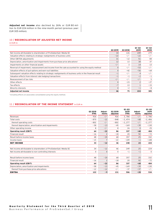**Adjusted net income** also declined by 26% or EUR 80 million to EUR 224 million in the nine-month period (previous year: EUR 305 million).

## 10 / RECONCILIATION OF ADJUSTED NET INCOME

in EUR m

|                                                                                                           | <b>Q3 2019</b> | Q3 2018 | $Q1 - Q3$<br>2019 | $Q1 - Q3$<br>2018 |
|-----------------------------------------------------------------------------------------------------------|----------------|---------|-------------------|-------------------|
| Net income attributable to shareholders of ProSiebenSat.1 Media SE                                        | 34             | 126     | 249               | 279               |
| Valuation effects relating to strategic realignments of business units                                    | $-22$          | $-/-$   | $-22$             | $-/-$             |
| Other EBITDA adjustments                                                                                  | 31             | $-12$   | 51                | 84                |
| Depreciation, amortization and impairments from purchase price allocations <sup>1</sup>                   | 12             | 13      | 38                | 37                |
| Impairments on other financial assets                                                                     | $-/-$          | 3       | 14                | 13                |
| Reversal of impairment, reassessment and income from the sale accounted for using the equity method       | $\Omega$       | $-/-$   | $-53$             | $-/-$             |
| Valuation effects of put-options and earn-out liabilities                                                 | $\Omega$       | $-42$   | $-56$             | $-64$             |
| Subsequent valuation effects relating to strategic realignments of business units in the financial result | $-1$           | $-/-$   | 4                 | $-/-$             |
| Valuation effects from interest rate hedging transactions                                                 | $-1$           | $-1$    | $-2$              | $-1$              |
| Reassessment of tax risks                                                                                 | $-/-$          | $-/-$   | $-/-$             | 5                 |
| Other effects                                                                                             | $\Omega$       | $-23$   | $\overline{2}$    | $-27$             |
| Tax effects                                                                                               | $-7$           | 13      |                   | $-15$             |
| Minority interests                                                                                        | $\Omega$       | $-2$    | $-1$              | $-8$              |
| Adjusted net income                                                                                       | 46             | 75      | 224               | 305               |

<sup>1</sup> Including effects on associates consolidated using the equity method.

# 11 / RECONCILIATION OF THE INCOME STATEMENT in EUR m

|                                                                    | 03 2019<br><b>IFRS</b> | Adjust-<br>ments | 03 2019<br>adjusted | $Q1 - Q3$<br>2019<br><b>IFRS</b> | Adjust-<br>ments | $Q1 - Q3$<br>2019<br>adjusted |
|--------------------------------------------------------------------|------------------------|------------------|---------------------|----------------------------------|------------------|-------------------------------|
| Revenues                                                           | 926                    | $-/-$            | 926                 | 2,786                            | $-/-$            | 2,786                         |
| Total costs                                                        | $-870$                 | $-22$            | $-848$              | $-2,474$                         | $-68$            | $-2,406$                      |
| thereof operating costs                                            | $-802$                 | $-/-$            | $-802$              | $-2,277$                         | $-/-$            | $-2,277$                      |
| thereof depreciation, amortization and impairments                 | $-58$                  | $-13$            | $-45$               | $-169$                           | $-39$            | $-130$                        |
| Other operating income                                             | 8                      | $-/-$            | 8                   | 26                               | $\mathbf{0}$     | 25                            |
| <b>Operating result (EBIT)</b>                                     | 64                     | $-22$            | 86                  | 337                              | $-68$            | 404                           |
| Financial result                                                   | $-16$                  | $\overline{2}$   | $-18$               | 20                               | 92               | $-72$                         |
| Result before income taxes                                         | 48                     | $-20$            | 68                  | 357                              | 25               | 332                           |
| Income taxes                                                       | $-15$                  | $\overline{7}$   | $-22$               | $-109$                           | $-1$             | $-108$                        |
| <b>NET INCOME</b>                                                  | 33                     | $-12$            | 46                  | 248                              | 24               | 224                           |
|                                                                    |                        |                  |                     |                                  |                  |                               |
| Net income attributable to shareholders of ProSiebenSat.1 Media SE | 34                     | $-12$            | 46                  | 249                              | 25               | 224                           |
| Net income attributable to non-controlling interests               | $\mathbf 0$            | $\mathbf{0}$     | $\mathbf 0$         | $-1$                             | $-1$             | $\mathbf 0$                   |
|                                                                    |                        |                  |                     |                                  |                  |                               |
| Result before income taxes                                         | 48                     | $-20$            | 68                  | 357                              | 25               | 332                           |
| Financial result                                                   | $-16$                  | $\overline{2}$   | $-18$               | 20                               | 92               | $-72$                         |
| <b>Operating result (EBIT)</b>                                     | 64                     | $-22$            | 86                  | 337                              | $-68$            | 404                           |
| Depreciation, amortization and impairments                         | $-58$                  | $-13$            | $-45$               | $-169$                           | $-39$            | $-130$                        |
| thereof from purchase price allocations                            | $-12$                  | $-12$            | $-/-$               | $-37$                            | $-37$            | $-/-$                         |
| <b>EBITDA</b>                                                      | 122                    | $-9$             | 131                 | 506                              | $-28$            | 534                           |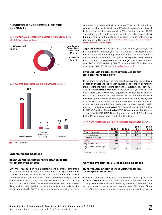# <span id="page-11-1"></span><span id="page-11-0"></span>BUSINESS DEVELOPMENT OF THE SEGMENTS

# 12 / REVENUE SHARE BY SEGMENT Q3 2019 in %,





#### 13 / ADJUSTED EBITDA BY SEGMENT in EUR m



Q3 2019 Q3 2018

#### Entertainment Segment

#### REVENUE AND EARNINGS PERFORMANCE IN THE THIRD QUARTER OF 2019

**External revenues** in the Entertainment segment amounted to EUR 525 million in the third quarter of 2019 (previous year: EUR 547 million). In addition to the deconsolidations of the video-on-demand (VoD) portal maxdome and the online sports program operator 7NXT in July 2018, this decline of 4% or EUR 21 million is primarily attributable to the weaker performance of the TV advertising business. Adjusted for consolidation and currency effects, the decline amounted to 3%. The digital and smart advertising business

continued to grow dynamically at a rate of 37%, but did not entirely compensate for the decline in total TV advertising revenues. Accordingly, total advertising revenues fell by 3% in the third quarter of 2019. This primarily reflects the general market trend. By contrast, distribution revenues continued to develop positively due to the increasing number of HD users.  $\rightarrow$  [Economic Development, page 6](#page-5-1)  $\rightarrow$  [Development](#page-5-2) [of the Advertising Market, page 6](#page-5-2)

**Adjusted EBITDA** fell by 28% or EUR 42 million year-on-year to EUR 108 million (previous year: EUR 150 million). This decline is due on the one hand to declining revenues and on the other hand, as announced, to investments recognized as expense, particularly in local content. The **adjusted EBITDA margin** was 20.1% (previous year: 26.7%). **EBITDA** fell by EUR 57 million to EUR 108 million (previous year: FUR 165 million).  $\rightarrow$  [Group Earnings, page](#page-7-1) [8](#page-7-1)

#### REVENUE AND EARNINGS PERFORMANCE IN THE NINE-MONTH PERIOD 2019

In the first nine months of the year, too, the above-mentioned deconsolidation effects and the weaker development of the TV advertising market were the main factors behind the development of revenues and earnings: **External revenues** fell by 5% to EUR 1,705 million (previous year: EUR 1,799 million). Adjusted for consolidation and currency effects, the decline amounted to 2%. In addition to the revenue development described above, planned investments recognized as expense in local content and in the expansion of digital platforms as well as costs related to improved monetization of reach in particular led to a decline in **adjusted EBITDA** of 19% or EUR 110 million to EUR 458 million. The **adjusted EBITDA margin** was 26.3% (previous year: 30.7%). **EBITDA** posted a decline of EUR 50 million to EUR 446 million (previous year: EUR 497 million).

#### 14 / KEY FIGURES ENTERTAINMENT SEGMENT in EUR m

|                                               | Q3 2019 | <b>Q3 2018</b> | $Q1 - Q3$<br>2019 | $Q1 - Q3$<br>2018 |
|-----------------------------------------------|---------|----------------|-------------------|-------------------|
| Segment revenues                              | 538     | 562            | 1,742             | 1,850             |
| External revenues                             | 525     | 547            | 1,705             | 1,799             |
| Internal revenues                             | 13      | 16             | 37                | 52                |
| <b>EBITDA</b>                                 | 108     | 165            | 446               | 497               |
| Adjusted EBITDA                               | 108     | 150            | 458               | 567               |
| Adjusted EBITDA margin <sup>1</sup><br>(in %) | 20.1    | 26.7           | 26.3              | 30.7              |

1 Based on segment revenues.

#### Content Production & Global Sales Segment

#### REVENUE AND EARNINGS PERFORMANCE IN THE THIRD QUARTER OF 2019

In the Content Production & Global Sales segment, the Group increased **external revenues** by 21% to EUR 178 million in the third quarter of 2019 (previous year: EUR 148 million). Adjusted for consolidation and currency effects, the increase in revenues was 15%. Digital-Studio Studio71 in particular continued its persistently dynamic growth in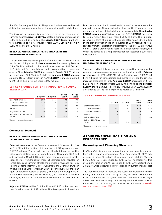<span id="page-12-0"></span>the USA, Germany and the UK. The production business and global distribution business also delivered double-digit growth contributions.

The increase in revenues is also reflected in the development of earnings figures: **Adjusted EBITDA** posted a significant increase of EUR 3 million to EUR 9 million. The **adjusted EBITDA margin** therefore increased to 4.5% (previous year: 3.8%). **EBITDA** grew by EUR 3 million to EUR 8 million.

#### REVENUE AND EARNINGS PERFORMANCE IN THE NINE-MONTH PERIOD 2019

The positive earnings development of the first half of 2019 continued in the third quarter: **External revenues** thus rose by 28% to EUR 461 million in the first nine months (previous year: EUR 361 million). Adjusted for consolidation and currency effects, revenues grew by 22%. **Adjusted EBITDA** increased by 34% to EUR 26 million (previous year: EUR 19 million) while the **adjusted EBITDA margin** amounted to 5.1% (previous year: 4.9%). **EBITDA** likewise amounted to EUR 26 million (previous year: EUR 17 million).

#### 15 / KEY FIGURES CONTENT PRODUCTION & GLOBAL SALES in EUR m

|                                               | Q3 2019 | <b>Q3 2018</b> | $Q1 - Q3$<br>2019 | $Q1 - Q3$<br>2018 |
|-----------------------------------------------|---------|----------------|-------------------|-------------------|
| Segment revenues                              | 189     | 155            | 508               | 394               |
| External revenues                             | 178     | 148            | 461               | 361               |
| Internal revenues                             | 11      |                | 46                | 33                |
| EBITDA                                        | 8       | 5              | 26                | 17                |
| Adjusted EBITDA                               | 9       | 6              | 26                | 19                |
| Adjusted EBITDA margin <sup>1</sup><br>(in %) | 4.5     | 3.8            | 5.1               | 4.9               |

1 Based on segment revenues.

#### Commerce Segment

#### REVENUE AND EARNINGS PERFORMANCE IN THE THIRD QUARTER OF 2019

**External revenues** in the Commerce segment increased by 13% to EUR 222 million in the third quarter of 2019 (previous year: EUR 197 million). The growth was positively influenced by the initial consolidations of eHarmony Group in November 2018 and of be Around in March 2019, which more than compensated for the opposite effect from the sale of Tropo in September 2018. Adjusted for consolidation and currency effects, the increase in revenues was 10%. Flaconi, Sonoma Internet GmbH ("Sonoma") and Jochen Schweizer mydays Holding GmbH ("Jochen Schweizer mydays") in particular again generated substantial growth, whereas the development of Verivox Holding GmbH ("Verivox Holding") was again impacted by a challenging market and competitive environment in the third quarter of 2019.

**Adjusted EBITDA** fell by EUR 4 million to EUR 15 million year-onyear (previous year: EUR 19 million). The development of earnings is on the one hand due to investments recognized as expense in the portfolio company Flaconi and on the other hand to different cost and earnings structures of the individual business models. The **adjusted EBITDA margin** was 6.7% (previous year: 9.8%). **EBITDA** decreased to EUR 9 million (previous year: EUR 17 million). This includes reconciling items of minus EUR 6 million after minus EUR 3 million in the previous year. In the third quarter of 2019, reconciling items resulted from the integration of eHarmony Group into PARSHIP Group GmbH ("Parship Group") and a reorganization at Verivox Holding, with which the company is laying a foundation for sustainable successful development.

#### REVENUE AND EARNINGS PERFORMANCE IN THE NINE-MONTH PERIOD 2019

The effects in the third quarter also characterized the development of revenues and earnings performance in the first nine months: **External revenues** rose by 18% to EUR 619 million (previous year: EUR 525 million). Adjusted for consolidation and currency effects, the revenue increase amounted to 10%. **Adjusted EBITDA** increased by 5% to EUR 51 million (previous year: EUR 48 million) while the **adjusted EBITDA margin** amounted to 8.2% (previous year: 9.2%). **EBITDA** amounted to EUR 36 million (previous year: EUR 37 million).

#### 16 / KEY FIGURES COMMERCE in EUR m

|                                               | Q3 2019 | <b>Q3 2018</b> | $Q1 - Q3$<br>2019 | $Q1 - Q3$<br>2018 |
|-----------------------------------------------|---------|----------------|-------------------|-------------------|
| Segment revenues                              | 222     | 197            | 619               | 525               |
| External revenues                             | 222     | 197            | 619               | 525               |
| Internal revenues                             | 0       | $\Omega$       | 0                 | 0                 |
| EBITDA                                        | 9       | 17             | 36                | 37                |
| Adjusted EBITDA                               | 15      | 19             | 51                | 48                |
| Adjusted EBITDA margin <sup>1</sup><br>(in %) | 6.7     | 9.8            | 8.2               | 9.2               |

1 Based on segment revenues.

# GROUP FINANCIAL POSITION AND PERFORMANCE

#### <span id="page-12-1"></span>Borrowings and Financing Structure

ProSiebenSat.1 Group uses various financing instruments and practices active financial management. As of September 30, 2019, debt accounted for an 82% share of total equity and liabilities (December 31, 2018: 83%; September 30, 2018: 82%). The majority of this, at EUR 3,197 million or 61% (December 31, 2018: 59%; September 30, 2018: 63%), was attributable to current and non-current financial debt.

The Group continuously monitors and assesses developments on the money and capital markets. In April 2019, the Group extended the maturities for most of the syndicated credit agreement consisting of a term loan and a revolving credit facility until April 2024. Further information on the financing instruments can be found on  $\rightarrow$  [pages 113](https://www.prosiebensat1.com/en/investor-relations/publications/annual-reports) [and 114 of the Annual Report 2018](https://www.prosiebensat1.com/en/investor-relations/publications/annual-reports) .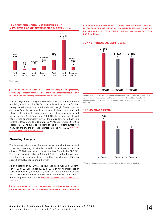# 17 / DEBT FINANCING INSTRUMENTS AND MATURITIES AS OF SEPTEMBER 30, 2019 in EUR m



1 Not drawn.

**Rating agencies do not take ProSiebenSat.1 Group's loan agreement, notes and promissory notes into account in their credit ratings. For this reason, no corresponding statements are made here.**

Interest payable on the syndicated term loan and the syndicated revolving credit facility (RCF) is variable and based on Euribor money market rates plus an additional credit margin. The Group uses derivative financial instruments in the form of interest rate swaps and interest rate options to hedge against interest rate changes caused by the market. As of September 30, 2019, the proportion of fixed interest was approximately 98% of the entire long-term financing portfolio (December 31, 2018: approx. 98%; September 30, 2018: approx. 98%). The average fixed rate of the interest rate swaps was 0.5% per annum; the average interest rate cap was 1.0%.  $\rightarrow$  [Analysis](#page-16-0) [of Assets and Capital Structure, page 17](#page-16-0)

# Financing Analysis

The leverage ratio is a key indicator for Group-wide financial and investment planning. It reflects the ratio of net financial debt to adjusted EBITDA over the last twelve months (LTM adjusted EBITDA). The target is a ratio between 1.5 and 2.5 at the end of the relevant year; the target range may be exceeded for a short period of time as a result of fluctuations during the year.

As of September 30, 2019, the leverage ratio was 2.8 (December 31, 2018: 2.1; September 30, 2018: 2.1) with net financial debt of EUR 2,588 million (December 31, 2018: EUR 2,163 million; September 30, 2018: EUR 2,189 million). This higher net financial debt reflects the development of cash flow.  $\rightarrow$  [Analysis of Liquidity and Capital Expendi](#page-14-0)[ture, page 15](#page-14-0)

**As of September 30, 2019, the definition of ProSiebenSat.1 Group's net financial debt does not include lease liabilities according to IFRS 16**  **of EUR 165 million (December 31, 2018: EUR 155 million; September 30, 2018: EUR 142 million) and real estate liabilities of EUR 42 million (December 31, 2018: EUR 22 million; September 30, 2018: EUR 22 million).** 

#### 18 / NET FINANCIAL DEBT<sup>1</sup> in EUR m



1 Net financial debt is defined as financial debt minus cash and cash equivalents and certain current financial assets. The leverage ratio is derived by calculating the ratio of net financial debt to adjusted EBITDA of the last twelve months (LTM adjusted EBITDA).



# 19 / LEVERAGE RATIO1

1 Ratio net financial debt to adjusted EBITDA in the last twelve months.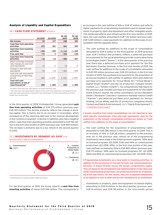#### <span id="page-14-0"></span>Analysis of Liquidity and Capital Expenditure

#### 20 / CASH FLOW STATEMENT in EUR m

|                                                                                | <b>Q3 2019</b> | 03 2018            | $Q1 - Q3$<br>2019 | $Q1 - Q3$<br>2018  |
|--------------------------------------------------------------------------------|----------------|--------------------|-------------------|--------------------|
| Net income                                                                     | 33             | 127                | 248               | 283                |
| <b>Cash flow from operating</b><br>activities                                  | 275            | 301                | 961               | 909                |
| <b>Cash flow from investing</b><br>activities                                  | $-346$         | - 299              | -1,112            | -1,049             |
| <b>Free cash flow</b>                                                          | $-71$          | 3                  | $-150$            | $-140$             |
| <b>Cash flow from financing</b><br>activities                                  | $-16$          | - 14               | -286              | - 427              |
| Effect of foreign exchange<br>rate changes on cash and<br>cash equivalents     | 12             | - 3                | 14                | 9                  |
| Change in cash and cash<br>equivalents                                         | $-76$          | $-14$              | $-422$            | $-559$             |
| Cash and cash equivalents<br>at beginning of reporting<br>period               | 685            | 1,014 <sup>1</sup> | 1,031             | 1,559 <sup>1</sup> |
| <b>Cash and cash</b><br>equivalents at end of<br>reporting period <sup>2</sup> | 609            | 1,000              | 609               | 1,000              |

1 Includes cash and cash equivalents of assets held for sale.

<sup>2</sup> The cash and cash equivalents shown in the cash flow statement correspond to the cash and cash equivalents reported in the statement of financial position as of the respective closing date.

In the third quarter of 2019, ProSiebenSat.1 Group generated **cash flow from operating activities** of EUR 275 million (previous year: EUR 301 million). The decline primarily reflects the change in working capital. This is mainly due to an increase in receivables, which increased as of the reporting date due to the revenue development in the Commerce segment. A decline in liabilities also had a negative effect. Cash flow from operating activities amounted to EUR 961 million in the first nine months of 2019 (previous year: EUR 909 million). The increase is primarily due to a tax refund in the second quarter of 2019.

#### 21 / INVESTMENTS BY SEGMENT Q3 2019<sup>1</sup> in %,

previous year's figures in parentheses



1 Investments by segment before M&A activities.

For the third quarter of 2019, the Group reports a **cash flow from investing activities** of minus EUR 346 million. This corresponds to an increase in the cash outflow of 16% or EUR 47 million and reflects higher payments for programming investments and increased investments in property, plant and equipment and other intangible assets. The mentioned effects also influenced the first nine months of 2019. Here, the cash outflow amounted to EUR 1,112 million (previous year: EUR 1,049 million). Lower payments for additions to the scope of consolidation had the opposite effect.

\_ The cash outflow for additions to the scope of consolidation amounted to EUR 6 million in the third quarter of 2019 (previous year: EUR 3 million) and primarily reflects a deferred purchase price payment for the social advertising provider esome advertising technologies GmbH ("esome"). In the same quarter of the previous year there was a deferred purchase price payment for the film distributor Gravitas Ventures. In the first nine months of 2019, the cash outflow for additions to the scope of consolidation amounted to EUR 100 million (previous year: EUR 233 million). In the first nine months of 2019, the purchase price payment for the acquisition of be Around resulted in cash outflow. In addition, there were deferred purchase price payments for Virtual Minds AG ("Virtual Minds"), Digital-Studio Studio71 and the US production company Kinetic Content, LLC ("Kinetic Content"). The comparatively high figure for the previous year includes purchase price payments for the health brand Zirkulin, esome, the online cancellation service Aboalarm GmbH ("Aboalarm") and the e-commerce marketer Kairion GmbH ("Kairion") and deferred purchase price payments for Verivox Holding, Virtual Minds, and the US production companies Kinetic Content and Fabrik Entertainment, LLC ("Fabrik Entertainment").  $\rightarrow$  [Significant Events, page 5](#page-4-1)

**Assets resulting from initial consolidations are not reported as segment-specific investments. Cash and cash equivalents used for the acquisition of the initially consolidated entities are shown as "cash outflow from additions to the scope of consolidation."**

 $\overline{\phantom{a}}$  The cash outflow for the acquisition of programming rights amounted to EUR 286 million in the third quarter of 2019. This is an increase of 15% or EUR 38 million compared to the previous year. As in the previous year, almost all of the programming investments were made in the Entertainment segment. 55% went on licensed programs (Q3 2018: 53%) and 44% on commissioned productions (Q3 2018: 45%). In the first nine months of the year, cash outflows increased by 22% to EUR 865 million (previous year: EUR 711 million). 54% went on licensed programs (Q1 – Q3 2018: 56%) and 45% on commissioned productions (Q1 – Q3 2018: 43%).

**Programming investments are a focal point in investing activities. In addition to the purchasing of licensed formats and commissioned productions, in-house formats secure the Group's programming supply. They are based on the development and implementation of own ideas and, unlike commissioned productions, are produced primarily for broadcasting in the near future. For this reason, they are recognized immediately as an expense in cost of sales and are not considered as an investment.**

\_ Investments in property, plant and equipment increased slightly, amounting to EUR 16 million in the third quarter (previous year: EUR 14 million) and EUR 38 million in the nine-month period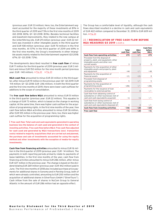(previous year: EUR 33 million). Here, too, the Entertainment segment accounted for the majority of these investments at 81% in the third quarter of 2019 and 73% in the first nine months of 2019 (Q3 2018: 80%; Q1 – Q3 2018: 83%). Besides technical facilities and leasehold improvements, they related to the new campus at the Unterföhring site. EUR 29 million (previous year: EUR 22 million) was invested in other intangible assets in the third quarter and EUR 108 million (previous year: EUR 70 million) in the first nine months. At 57% in the third quarter of 2019 and 69% in the first nine months, the Group's investments in other intangible assets mainly related to the Entertainment segment (Q3 2018: 67%; Q1 – Q3 2018: 72%).

The developments described resulted in **free cash flow** of minus EUR 71 million for the third quarter of 2019 (previous year: EUR 3 million) and minus EUR 150 million for the nine-month period (previous year: EUR -140 million).  $\rightarrow$  Fig. 22  $\rightarrow$  [Fig. 23](#page-16-1)

**M&A cash flow** amounted to minus EUR 20 million in the third quarter, after minus EUR 19 million in the previous year (Q1 – Q3 2019: EUR -114 million; Q1 – Q3 2018: EUR -246 million). In both the third quarter and the first nine months of 2019, there were lower cash outflows for additions to the scope of consolidation.

The **free cash flow before M&A** amounted to minus EUR 51 million in the third quarter (previous year: EUR 22 million). This equates to a change of EUR 73 million, which is based on the change in working capital. At the same time, there was higher cash outflow for the acquisition of programming rights. In the first nine months of the year, free cash flow before M&A activities amounted to minus EUR 36 million, after EUR 105 million in the previous year. Here, too, there was higher cash outflow for the acquisition of programming rights.

**Free cash flow: Total cash and cash equivalents generated in operating business less the balance of cash used and generated in the context of investing activities. Free cash flow before M&A: Free cash flow adjusted for cash used and generated by M&A transactions (excl. transaction costs) related to majority acquisitions that are carried out and planned, the purchase and sale of investments accounted for using the equity method and other investments with the exception of media-for-equity investments.**

**Cash flow from financing activities** amounted to minus EUR 16 million in the third quarter of 2019 (previous year: EUR – 14 million). The payments in both reporting periods primarily relate to payments of lease liabilities. In the first nine months of the year, cash flow from financing activities amounted to minus EUR 286 million, after minus EUR 427 million in the previous year. The change is based on the dividend totaling EUR 269 million (previous year: EUR 442 million) paid in June. The first nine months of 2018 also included purchase price payments for additional shares in Sonoma and in Parship Group, both of which were already controlled, amounting to EUR 200 million and the acquisition of additional shares in SilverTours GmbH ("SilverTours"). Cash inflow from the sale of shares in NuCom Group to General Atlantic in the amount of EUR 286 million had an opposite effect.

The Group has a comfortable level of liquidity, although the cash flows described resulted in a decline in cash and cash equivalents of EUR 422 million compared to December 31, 2018 to EUR 609 million.  $\rightarrow$  [Fig. 24](#page-17-0)

#### 22 / RECONCILIATION OF FREE CASH FLOW BEFORE M&A MEASURES Q3 2019 in EUR m

|                                                                                                                              | Total<br>cash flow | M&A<br>cash flow | <b>Cash flow</b><br>before<br>М&А |
|------------------------------------------------------------------------------------------------------------------------------|--------------------|------------------|-----------------------------------|
| <b>Cash flow from operating activities</b>                                                                                   | 275                | $-/-$            | 275                               |
| Proceeds from the disposal of<br>property, plant, and equipment, other<br>intangible assets and other non-<br>current assets | 3                  | 3                | 0                                 |
| Payments for the acquisition of other<br>intangible assets and property, plant<br>and equipment                              | $-44$              | $-/-$            | - 44                              |
| Payments for the acquisition of<br>financial assets                                                                          | $-21$              | $-21$            | 0                                 |
| Proceeds from disposal of<br>programming assets                                                                              | 5                  | $-/-$            | 5                                 |
| Payments for the acquisition of<br>programming assets                                                                        | $-286$             | $-/-$            | $-286$                            |
| Payments for the issuance of loan<br>receivables to external parties                                                         | $\Omega$           | $\Omega$         | - / -                             |
| Cash flow from obtaining control of<br>subsidiaries or other businesses (net of<br>cash and cash equivalents acquired)       | $-6$               | - 6              |                                   |
| Cash flow from losing control of<br>subsidiaries or other businesses (net of<br>cash and cash equivalents disposed of)       | 3                  | 3                | - / -                             |
| <b>Cash flow from investing activities</b>                                                                                   | $-346$             | $-20$            | $-325$                            |
| <b>Free cash flow</b>                                                                                                        | -71                | $-20$            | - 51                              |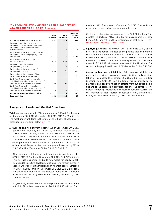#### <span id="page-16-1"></span>23 / RECONCILIATION OF FREE CASH FLOW BEFORE M&A MEASURES Q1 – Q3 2019 in EUR m

|                                                                                                                              | Total<br>cash flow | <b>M&amp;A</b><br>cash flow | <b>Cash flow</b><br>before<br><b>M&amp;A</b> |
|------------------------------------------------------------------------------------------------------------------------------|--------------------|-----------------------------|----------------------------------------------|
| <b>Cash flow from operating activities</b>                                                                                   | 961                | -/-                         | 961                                          |
| Proceeds from the disposal of<br>property, plant, and equipment, other<br>intangible assets and other non-<br>current assets | 37                 | 35                          | 2                                            |
| Payments for the acquisition of other<br>intangible assets and property, plant<br>and equipment                              | $-146$             | $-/-$                       | $-146$                                       |
| Payments for the acquisition of<br>financial assets                                                                          | $-55$              | $-53$                       | $-2$                                         |
| Proceeds from disposal of<br>programming assets                                                                              | 12                 | $-/-$                       | 12                                           |
| Payments for the acquisition of<br>programming assets                                                                        | -865               | -/-                         | -865                                         |
| Payments for the issuance of loan<br>receivables to external parties                                                         | $-1$               | $-1$                        | $-/-$                                        |
| Cash flow from obtaining control of<br>subsidiaries or other businesses (net of<br>cash and cash equivalents acquired)       | $-100$             | $-100$                      | $-/-$                                        |
| Cash flow from losing control of<br>subsidiaries or other businesses (net of<br>cash and cash equivalents disposed of)       | 5                  | 5                           | $-/-$                                        |
| <b>Cash flow from investing activities</b>                                                                                   | $-1,112$           | $-114$                      | - 998                                        |
| <b>Free cash flow</b>                                                                                                        | $-150$             | $-114$                      | $-36$                                        |

# <span id="page-16-0"></span>Analysis of Assets and Capital Structure

**Total assets** decreased by 1%, amounting to EUR 6,410 million as of September 30, 2019 (December 31, 2018: EUR 6,468 million). The most important items in the statement of financial position are described in more detail below.  $\rightarrow$  [Fig. 25](#page-17-0)

\_ **Current and non-current assets:** As of September 30, 2019, goodwill increased by 8% to EUR 2,118 million (December 31, 2018: EUR 1,962 million); its share in total assets was 33% (December 31, 2018: 30%). Other intangible assets increased by 3% to EUR 850 million (December 31, 2018: EUR 824 million). These developments are mainly influenced by the initial consolidation of be Around. Property, plant, and equipment increased by 3% to EUR 337 million (December 31, 2018: EUR 327 million).

Other non-current financial and non-financial assets grew by 36% to EUR 338 million (December 31, 2018: EUR 249 million). This increase was primarily due to new media-for-equity investments and the positive development of long-term foreign currency hedges. Other current financial and non-financial assets increased by 12% to EUR 137 million (December 31, 2018: EUR 122 million), primarily due to higher VAT receivables. In addition, current trade receivables decreased by 3% to EUR 511 million (December 31, 2018: EUR 529 million).

Programming assets increased by 10% year-on-year and amounted to EUR 1,222 million (December 31, 2018: EUR 1,113 million). They

made up 19% of total assets (December 31, 2018: 17%) and comprise non-current and current programming assets.

Cash and cash equivalents amounted to EUR 609 million. This equates to a decline of 41% or EUR 422 million compared to December 31, 2018, and reflects the development of cash flow.  $\rightarrow$  [Analysis](#page-14-0) [of Liquidity and Capital Expenditure, page 15](#page-14-0)

- \_ **Equity:** Equity increased by 9% or EUR <sup>95</sup> million to EUR 1,165 million. This development is based on the positive total comprehensive income and the contribution of the shares in Marketplace by General Atlantic, which led to the increase in non-controlling interests. This was offset by the dividend payment for 2018 in the amount of EUR 269 million (previous year: EUR 442 million). The corresponding equity ratio was 18.2% (December 31, 2018: 16.5%).
- \_ **Current and non-current liabilities:** Debt decreased slightly compared to the previous closing date; overall, liabilities and provisions fell by 3% compared to December 31, 2018, to EUR 5,245 million (December 31, 2018: EUR 5,398 million). This was mainly due to payments and positive valuation effects from put-option liabilities and to the decrease in provisions for onerous contracts. The increase in trade payables had the opposite effect. Non-current and current financial debt reported in debt was virtually unchanged at EUR 3,197 million (December 31, 2018: EUR 3,194 million).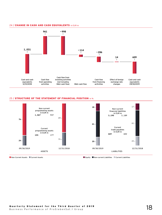#### <span id="page-17-0"></span>24 / CHANGE IN CASH AND CASH EQUIVALENTS in EUR m



## 25 / STRUCTURE OF THE STATEMENT OF FINANCIAL POSITION in %

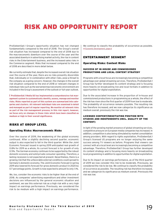# <span id="page-18-1"></span><span id="page-18-0"></span>RISK AND OPPORTUNITY REPORT

ProSiebenSat.1 Group's opportunity situation has not changed fundamentally compared to the end of 2018. The Group's overall risk situation has increased compared to the end of 2018 due to the macroeconomic downturn over the course of the year and the associated downturn in advertising market activity, the rise in content risks in the Entertainment business, and the increased sales risks in the Commerce segment. Risks that increased compared to the end of 2018 are described in more detail below.

We currently estimate that, despite the increased overall risk situation over the course of the year, there are no risks presently discernible that, individually or in combination with other risks, pose a threat to the company as a going concern. However, the changes in the overall risk situation compared to the end of 2018 or relevant changes in individual risks such as the worsened macroeconomic environment are included in the Group's assessment of the outlook or full-year outlook.

**ProSiebenSat.1 Media SE has implemented a comprehensive risk management system to systematically identify, assess, manage and monitor risks. Risks reported as part of this system are summarized into categories and clusters. All relevant individual risks are examined in detail and managed as part of regular reporting. We monitor all relevant risks as part of the risk management process; in this risk report, however, we focus only on changes in those risks which have been classified as medium or high in their overall significance.**

# RISKS AT GROUP LEVEL

# Operating Risks: Macroeconomic Risks

Over the course of 2019, the weakening of the global economy continued. After a slightly declining second quarter, economic output is also expected to fall in the third quarter. While the Joint Economic Forecast issued in spring 2019 anticipated real growth of 0.8% for 2019 as a whole, its current forecast is for growth of only 0.5%. The German economy continues to be supported by the robust domestic economy and solid private consumer spending. Therefore, a lasting recession is not expected at present. Nevertheless, there is a growing risk that the unfavorable external conditions could spread to Germany's domestic economy. The Joint Economic Forecast in spring 2019 also lowered its forecast for gross domestic product in 2020 by 0.7 percentage points. Growth is now expected to amount to only 1.1%.

We, too, consider the economic risks to be higher than at the end of 2018. As companies' advertising expenditure and other investment decisions are influenced by the general economic situation and sentiment, we see this external risk as a high risk with a very high impact on earnings performance. Previously, we considered the risk to be medium with a high impact on earnings performance. We continue to classify the probability of occurrence as possible. → [Economic Development, page 6](#page-5-1)

# ENTERTAINMENT SEGMENT

# Operating Risks: Content Risks

## SUCCESS OF IN-HOUSE AND COMMISSIONED PRODUCTIONS AND LOCAL CONTENT STRATEGY

Programs with a local focus are increasingly becoming a competitive advantage over global streaming services. Therefore, ProSiebenSat.1 Group has further developed its content strategy and is focusing more heavily on broadcasting live and local formats in addition to opportunities for digital exploitation.

Due to the associated increase in the proportion of in-house and commissioned productions in programming as a whole, the effect of the risk has risen since the first quarter of 2019 from low to moderate. The probability of occurrence remains possible. The resulting risk has therefore increased, and we now categorize its significance as medium overall, previously the risk was low.

#### LICENSED CONTENT/NEGOTIATING POSITION WITH STUDIOS AND INDEPENDENTS (INCL. QUALITY OF THE CONTENT)

In light of the growing market presence of global streaming services, competitive pressure on European media companies has increased. In addition, competition is also being stimulated by market consolidation among providers. With regard to rights exploitation, ProSiebenSat.1 Group's licensed US programs are no longer enjoying the same success among TV viewers as before. Programs that viewers can connect with at a local level are increasingly becoming a competitive advantage. Therefore, ProSiebenSat.1 Group has further developed its content strategy and is focusing more heavily on broadcasting local programming in addition to opportunities for digital exploitation.

Due to its impact on earnings performance, as of the third quarter of 2019 we now consider this risk to be moderate. Previously, we considered the risk to be low. We continue to classify the probability of occurrence as possible. The resulting risk has therefore increased, and we categorize its significance as medium overall. Previously the risk was low.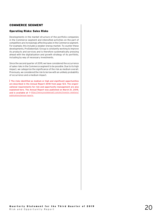# COMMERCE SEGMENT

# Operating Risks: Sales Risks

Developments in the market structure of the portfolio companies in the Commerce segment and intensified activities on the part of competitors are increasingly affecting sales in the Commerce segment. For example, this includes a weaker energy market. To counter these developments, ProSiebenSat.1 Group is constantly working to improve its products and services and is therefore systematically pressing ahead with the digitalization and growth strategy of its portfolio, including by way of necessary investments.

Since the second quarter of 2019, we have considered the occurrence of sales risks in the Commerce segment to be possible. Due to its high impact, we categorize the significance of the risk as medium overall. Previously, we considered the risk to be low with an unlikely probability of occurrence and a medium impact.

**The risks identified as medium or high and significant opportunities are described in the Annual Report 2018 from page 123. The organizational requirements for risk and opportunity management are also explained here. The Annual Report was published on March 21, 2019,**  and is available  $at \rightarrow$  [https://www.prosiebensat1.com/en/investor-relations/](https://www.prosiebensat1.com/en/investor-relations/publications/annual-reports) [publications/annual-reports](https://www.prosiebensat1.com/en/investor-relations/publications/annual-reports) **.**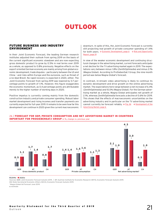# **OUTLOOK**

# <span id="page-20-1"></span><span id="page-20-0"></span>FUTURE BUSINESS AND INDUSTRY ENVIRONMENT

In their Joint Economic Forecast, the leading German research institutes adjusted their outlook from spring 2019 on the basis of the current significant economic slowdown and are now expecting gross domestic product to grow by 0.5% in real terms over 2019 as a whole, as opposed to 0.8% previously. Negative effects on the export-oriented German economy are mainly arising from global economic development, trade disputes – particularly between the US and China – and risks within Europe and the eurozone, such as threat of a no-deal Brexit. No rapid recovery is expected in 2020, either. The Joint Economic Forecast from spring 2019 was lowered by 0.7 percentage points to growth of 1.1%. However, this figure exaggerates the economic momentum, as 0.4 percentage points are attributable merely to the higher number of working days in 2020.

Positive impetus is currently coming mainly from the domestic construction industry and private consumer spending. Robust labor market development and rising incomes and transfer payments are currently expected for full-year 2019. It remains to be seen how far this development can continue in 2020 given the current macroeconomic downturn. In spite of this, the Joint Economic Forecast is currently still projecting real growth of private consumer spending of 1.4% for both years.  $\rightarrow$  [Economic Development, page 6](#page-5-1)  $\rightarrow$  [Risk and Opportunity](#page-18-1) [Report, page 19](#page-18-1)

In view of the weaker economic development and continuing structural changes in the advertising market, current forecasts anticipate a net decline for the TV advertising market again in 2019. The expectations vary between minus 1.8% (ZenithOptimedia) and minus 2.1% (Magna Global). According to ProSiebenSat.1 Group, the nine-month period was below Magna Global's forecast.

In contrast, in-stream video advertising is likely to continue its dynamic development and drive growth on the online advertising market. The expectations here range between a net increase of 6.4% (ZenithOptimedia) and 10.0% (Magna Global). For the German advertising market as a whole, Magna Global anticipates net growth of 2.1%, whereas ZenithOptimedia forecasts a decline of 0.6% for 2019. This shows that the effects of macroeconomic uncertainties on the advertising industry and in particular on the TV advertising market cannot currently be forecast reliably.  $\rightarrow$  Fig. 26  $\rightarrow$  [Development of the](#page-5-2) [Advertising Market, page 6](#page-5-2)

#### 26 / FORECAST FOR GDP, PRIVATE CONSUMPTION AND NET ADVERTISING MARKET IN COUNTRIES IMPORTANT FOR PROSIEBENSAT.1 GROUP in %, change vs. previous year



 <sup>2019</sup>e 2020e

Sources: **GER:** Joint Economic Forecast Autumn 2019. / **AT:** Austrian Institute for Economic Research (WIFO), Economic Forecast Autumn 2019. **CH:** State Secretariat Economic Affairs (SECO), Economic Forecast Autumn 2019. 1 Magna Global Ad Forecast June 2019.

**e:** estimate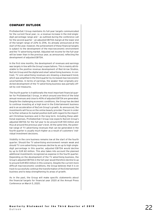# COMPANY OUTLOOK

ProSiebenSat.1 Group maintains its full-year targets communicated for the current fiscal year, i.e. a revenue increase in the mid-singledigit percentage range and – as outlined during the conference call for the second quarter – an adjusted EBITDA margin at the lower end of the target range of 22% to 25%. As already announced at the start of the year, however, the achievement of these financial targets is subject to the development of the macroeconomic environment and the TV advertising market. Adjusted net income for the full-year will be lower than in the previous year, as announced, reflecting the development of adjusted EBITDA.

In the first nine months, the development of revenues and earnings was largely in line with the Group's expectations. This is mainly attributable to the positive revenue development of Red Arrow Studios, NuCom Group and the digital and smart advertising business. In contrast, TV core advertising revenues are showing a downward trend, which was amplified in the third quarter by increased macroeconomic uncertainties. In terms of earnings, the weaker than originally predicted development of the TV advertising business was partially offset by cost measures.

The fourth quarter is traditionally the most important financial quarter for ProSiebenSat.1 Group, in which around one-third of the total annual revenues and close to 40% of adjusted EBITDA are generated. Despite the challenging economic conditions, the Group has decided to continue investing at a high level in the Entertainment business and in an acceleration of NuCom Group's growth. As announced, the investments will focus on the online beauty provider Flaconi in order to further enhance its market position both with regard to the important Christmas business and in the long term. Including these additional expenses, ProSiebenSat.1 Group now expects NuCom Group's adjusted EBITDA for the full-year to be around EUR 100 million and thus at around the previous year's level. At the same time, the potential range of TV advertising revenues that can be generated in the fourth quarter is usually much higher as a result of customers' individual investment decisions.

Visibility in the core business remains low at the start of the fourth quarter. Should the TV advertising environment remain weak and should TV core advertising revenues decline by an up to high-singledigit percentage in this quarter, adjusted EBITDA would decline by up to EUR 60 million. This also takes into account the planned additional investments recognized as expense in the fourth quarter. Depending on the development of the TV advertising business, the Group's adjusted EBITDA in the full-year would therefore decline to up to around EUR 850 million in this scenario. Despite the current more difficult macroeconomic conditions, the Group believes that it is on track to successfully continue the transformation of the Entertainment business and to keep strengthening its areas of growth.

As in the past, the Group will make specific statements about the financial targets for financial year 2020 at the Annual Press Conference on March 5, 2020.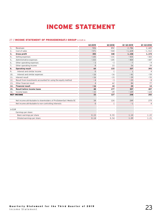# INCOME STATEMENT

# <span id="page-22-0"></span>27 / INCOME STATEMENT OF PROSIEBENSAT.1 GROUP in EUR m

|        |                                                                    | Q3 2019        | 03 2018      | 01-03 2019   | 01-03 2018     |
|--------|--------------------------------------------------------------------|----------------|--------------|--------------|----------------|
| 1.     | Revenues                                                           | 926            | 892          | 2,786        | 2,685          |
| 2.     | Cost of sales                                                      | $-571$         | $-544$       | $-1,628$     | $-1,512$       |
| 3.     | Gross profit                                                       | 355            | 348          | 1,158        | 1,174          |
| 4.     | Selling expenses                                                   | $-143$         | $-131$       | $-435$       | $-365$         |
| 5.     | Administrative expenses                                            | $-153$         | $-105$       | $-404$       | $-447$         |
| 6.     | Other operating expenses                                           | $-3$           | $-3$         | $-7$         | $-9$           |
| 7.     | Other operating income                                             | 8              | 23           | 26           | 39             |
| 8.     | <b>Operating result</b>                                            | 64             | 133          | 337          | 393            |
| 9.     | Interest and similar income                                        | $\Omega$       | $\mathbf{1}$ | $\mathbf{1}$ | $\overline{4}$ |
| 10.    | Interest and similar expenses                                      | $-16$          | $-16$        | $-41$        | $-59$          |
| 11.    | Interest result                                                    | $-16$          | $-15$        | $-39$        | $-55$          |
| 12.    | Result from investments accounted for using the equity method      | $-4$           | $-3$         | $-25$        | $-8$           |
| 13.    | Other financial result                                             | $\overline{4}$ | 62           | 84           | 77             |
| 14.    | <b>Financial result</b>                                            | $-16$          | 44           | 20           | 14             |
| 15.    | Result before income taxes                                         | 48             | 177          | 357          | 407            |
| 16.    | Income taxes                                                       | $-15$          | $-49$        | $-109$       | $-124$         |
|        | <b>NET INCOME</b>                                                  | 33             | 127          | 248          | 283            |
|        |                                                                    |                |              |              |                |
|        | Net income attributable to shareholders of ProSiebenSat.1 Media SE | 34             | 126          | 249          | 279            |
|        | Net income attributable to non-controlling interests               | $\Omega$       | $\mathbf{1}$ | $-1$         | $\overline{4}$ |
| in EUR |                                                                    |                |              |              |                |
|        | Earnings per share                                                 |                |              |              |                |
|        | Basic earnings per share                                           | 0.15           | 0.55         | 1.10         | 1.22           |
|        | Diluted earnings per share                                         | 0.14           | 0.54         | 1.09         | 1.21           |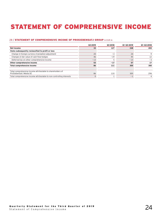# <span id="page-23-0"></span>STATEMENT OF COMPREHENSIVE INCOME

# 28 / STATEMENT OF COMPREHENSIVE INCOME OF PROSIEBENSAT.1 GROUP in EUR m

|                                                                                       | Q3 2019 | 03 2018 | 01-03 2019 | 01-03 2018 |
|---------------------------------------------------------------------------------------|---------|---------|------------|------------|
| Net income                                                                            | 33      | 127     | 248        | 283        |
| Items subsequently reclassified to profit or loss                                     |         |         |            |            |
| Change in foreign currency translation adjustment                                     | 20      | $-3$    | 24         |            |
| Changes in fair value of cash flow hedges                                             | 46      | $-19$   | 45         | 12         |
| Deferred tax on other comprehensive income                                            | $-13$   |         | $-13$      | - 3        |
| Other comprehensive income                                                            | 53      | $-17$   | 57         | 17         |
| Total comprehensive income                                                            | 86      | 111     | 305        | 300        |
|                                                                                       |         |         |            |            |
| Total comprehensive income attributable to shareholders of<br>ProSiebenSat.1 Media SE | 86      | 110     | 305        | 296        |
| Total comprehensive income attributable to non-controlling interests                  |         |         | $-1$       |            |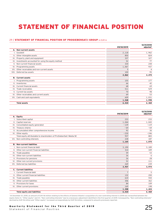# <span id="page-24-0"></span>STATEMENT OF FINANCIAL POSITION

## 29 / STATEMENT OF FINANCIAL POSITION OF PROSIEBENSAT.1 GROUP in EUR m

|                                                       | 09/30/2019 | 12/31/2018<br>adjusted <sup>1</sup> |
|-------------------------------------------------------|------------|-------------------------------------|
| A. Non-current assets                                 |            |                                     |
| Goodwill                                              | 2,118      | 1,962                               |
| II. Other intangible assets                           | 850        | 824                                 |
| Property, plant and equipment<br>III.                 | 337        | 327                                 |
| IV. Investments accounted for using the equity method | 52         | 77                                  |
| V. Non-current financial assets                       | 334        | 244                                 |
| VI. Programming assets                                | 1,067      | 937                                 |
| Other receivables and non-current assets<br>VII.      | 5          | 4                                   |
| Deferred tax assets<br>VIII.                          | 100        | 95                                  |
|                                                       | 4,862      | 4,470                               |
| <b>B.</b> Current assets                              |            |                                     |
| I. Programming assets                                 | 155        | 177                                 |
| II. Inventories                                       | 66         | 42                                  |
| Current financial assets<br>Ш.                        | 68         | 69                                  |
| IV. Trade receivables                                 | 511        | 529                                 |
| V. Current tax assets                                 | 70         | 98                                  |
| Other receivables and current assets<br>VI.           | 69         | 53                                  |
| VII. Cash and cash equivalents                        | 609        | 1,031                               |
|                                                       | 1,548      | 1,998                               |
| <b>Total assets</b>                                   | 6,410      | 6,468                               |

|      |                                                                      | 09/30/2019     | 12/31/2018<br>adjusted <sup>1</sup> |
|------|----------------------------------------------------------------------|----------------|-------------------------------------|
|      | A. Equity                                                            |                |                                     |
|      | I. Subscribed capital                                                | 233            | 233                                 |
|      | II. Capital reserves                                                 | 1.044          | 1,043                               |
|      | III. Consolidated equity generated                                   | $-139$         | $-119$                              |
|      | IV. Treasury shares                                                  | $-64$          | $-64$                               |
|      | V. Accumulated other comprehensive income                            | 92             | 36                                  |
|      | VI. Other equity                                                     | $-230$         | $-246$                              |
|      | Total equity attributable to shareholders of ProSiebenSat.1 Media SE | 937            | 883                                 |
|      | VII. Non-controlling interests                                       | 228            | 187                                 |
|      |                                                                      | 1,165          | 1,070                               |
|      | <b>B.</b> Non-current liabilities                                    |                |                                     |
|      | I. Non-current financial debt                                        | 3,190          | 3,189                               |
|      | II. Other non-current financial liabilities                          | 314            | 349                                 |
| III. | Trade payables                                                       | 59             | 53                                  |
|      | IV. Other non-current liabilities                                    | 26             | 6                                   |
|      | V. Provisions for pensions                                           | 26             | 28                                  |
|      | VI. Other non-current provisions                                     | 52             | 111                                 |
|      | VII. Deferred tax liabilities                                        | 269            | 239                                 |
|      |                                                                      | 3,937          | 3,974                               |
|      | C. Current liabilities                                               |                |                                     |
|      | I. Current financial debt                                            | $\overline{7}$ | 5                                   |
|      | II. Other current financial liabilities                              | 132            | 200                                 |
| III. | Trade payables                                                       | 610            | 550                                 |
|      | IV. Other current liabilities                                        | 306            | 362                                 |
|      | V. Provisions for taxes                                              | 84             | 109                                 |
|      | VI. Other current provisions                                         | 169            | 198                                 |
|      |                                                                      | 1,308          | 1,424                               |
|      | <b>Total equity and liabilities</b>                                  | 6,410          | 6,468                               |

<sup>1</sup> At December 31, 2018, an amount of EUR 116 million relating to the effects of General Atlantic's acquisition of a non-controlling interest in 2018 was reclassified between the equity items VI. "Other equity" and VII. "Non-controlling interests" due to a necessary adjustment identified in the first quarter of 2019. Consequently, "Non-controlling interests" declined by EUR 116 million and "Other equity" increased correspondingly by EUR 116 million, compared to amounts previously reported.

# Quarterly Statement for the Third Quarter of 2019<br>Statement of Financial Position

Statement of Financial Position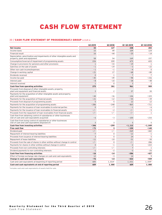# CASH FLOW STATEMENT

# <span id="page-25-0"></span>30 / CASH FLOW STATEMENT OF PROSIEBENSAT.1 GROUP in EUR m

|                                                                                                                     | Q3 2019      | Q3 2018            | Q1-Q3 2019     | Q1-Q3 2018           |
|---------------------------------------------------------------------------------------------------------------------|--------------|--------------------|----------------|----------------------|
| Net income                                                                                                          | 33           | 127                | 248            | 283                  |
| Income taxes                                                                                                        | 15           | 49                 | 109            | 124                  |
| Financial result                                                                                                    | 16           | $-44$              | $-20$          | $-14$                |
| Depreciation, amortization and impairments of other intangible assets and<br>property, plant and equipment          | 58           | 54                 | 169            | 157                  |
| Consumption/reversal of impairment of programming assets                                                            | 226          | 209                | 675            | 655                  |
| Change in provisions for pensions and other provisions                                                              | $\mathbf{1}$ | $-33$              | $-19$          | $\mathbf{1}$         |
| Gain/loss on the sale of assets                                                                                     | $-1$         | $-19$              | $-3$           | $-22$                |
| Other non-cash income/expenses                                                                                      | $-1$         | $-1$               | $-4$           | $\mathbf 0$          |
| Change in working capital                                                                                           | $-21$        | 17                 | $-68$          | $-80$                |
| Dividends received                                                                                                  | $\Omega$     | 1                  | $\overline{7}$ | $\overline{7}$       |
| Income tax paid                                                                                                     | $-45$        | $-49$              | $-98$          | $-156$               |
| Interest paid                                                                                                       | $-8$         | $-10$              | $-38$          | $-48$                |
| Interest received                                                                                                   | $\mathbf{1}$ | $\Omega$           | 3              | $\overline{c}$       |
| Cash flow from operating activities                                                                                 | 275          | 301                | 961            | 909                  |
| Proceeds from disposal of other intangible assets, property,<br>plant and equipment and financial assets            | 3            | $\overline{c}$     | 37             | 30                   |
| Payments for the acquisition of other intangible assets and property,                                               |              |                    |                |                      |
| plant and equipment                                                                                                 | $-44$        | $-36$              | $-146$         | $-103$               |
| Payments for the acquisition of financial assets                                                                    | $-21$        | $-12$              | $-55$          | $-39$                |
| Proceeds from disposal of programming assets                                                                        | 5            | 5                  | 12             | 12                   |
| Payments for the acquisition of programming assets                                                                  | $-286$       | $-248$             | $-865$         | $-711$               |
| Payments for the issuance of loan receivables to external parties                                                   | $\Omega$     | $-7$               | $-1$           | $-6$                 |
| Payments for the issuance of loan receivables to financial assets                                                   | $-/-$        | $-2$               | $-/-$          | $-5$                 |
| Proceeds from the repayment of loan receivables from financial assets                                               | $-/-$        | $-/-$              | $-/-$          | $\mathbf{1}$         |
| Cash flow from obtaining control of subsidiaries or other businesses<br>(net of cash and cash equivalents acquired) | $-6$         | $-3$               | $-100$         | $-233$               |
| Cash flow from losing control of subsidiaries or other businesses<br>(net of cash and cash equivalents disposed of) | 3            | 3                  | 5              | 5                    |
| Cash flow from investing activities                                                                                 | $-346$       | $-299$             | $-1,112$       | $-1,049$             |
| <b>Free cash flow</b>                                                                                               | $-71$        | 3                  | $-150$         | $-140$               |
| Dividend paid                                                                                                       | $-/-$        | $-/-$              | $-269$         | $-442$               |
| Repayment of interest-bearing liabilities                                                                           | $-7$         | 0                  | $-12$          | $-1$                 |
| Proceeds from issuance of interest-bearing liabilities                                                              | 3            | $\Omega$           | 24             | 5                    |
| Repayment of lease liabilities                                                                                      | $-11$        | $-10$              | $-31$          | $-30$                |
| Proceeds from the sale of shares in other entities without change in control                                        | $-/-$        | $\mathbf{0}$       | $-/-$          | 286                  |
| Payments for shares in other entities without change in control                                                     | $\Omega$     | $-1$               | $-2$           | $-222$               |
| Proceeds from non-controlling interests                                                                             | $-/-$        | $-/-$              | $\overline{7}$ | 1                    |
| Dividend payments to non-controlling interests                                                                      | $-1$         | $-2$               | $-3$           | $-26$                |
| <b>Cash flow from financing activities</b>                                                                          | $-16$        | $-14$              | $-286$         | -427                 |
| Effect of foreign exchange rate changes on cash and cash equivalents                                                | 12           | $-3$               | 14             | 9                    |
| Change in cash and cash equivalents                                                                                 | $-76$        | $-14$              | $-422$         | -559                 |
| Cash and cash equivalents at beginning of reporting period                                                          | 685          | 1,014 <sup>1</sup> | 1,031          | $1,559$ <sup>1</sup> |
| Cash and cash equivalents at end of reporting period                                                                | 609          | 1,000              | 609            | 1,000                |

1 Includes cash and cash equivalents of assets held for sale.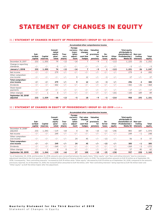# <span id="page-26-0"></span>STATEMENT OF CHANGES IN EQUITY

## 31 / STATEMENT OF CHANGES IN EQUITY OF PROSIEBENSAT.1 GROUP Q1-Q3 2018 in EUR m

|                                             |                            |                     |                                               |                         | Accumulated other comprehensive income                     |                                                           |                                                  |                        |                 |                                                                                                |                                   |                 |
|---------------------------------------------|----------------------------|---------------------|-----------------------------------------------|-------------------------|------------------------------------------------------------|-----------------------------------------------------------|--------------------------------------------------|------------------------|-----------------|------------------------------------------------------------------------------------------------|-----------------------------------|-----------------|
|                                             | Sub-<br>scribed<br>capital | Capital<br>reserves | Consoli-<br>dated<br>equity<br>aene-<br>rated | Trea-<br>surv<br>shares | Foreign<br>currency<br>trans-<br>lation<br>adjust-<br>ment | <b>Fair value</b><br>changes<br>of<br>cash flow<br>hedges | Valuation<br>of<br>provisions<br>for<br>pensions | De-<br>ferred<br>taxes | Other<br>equity | <b>Total equity</b><br>attributable to<br>shareholders of<br>ProSiebenSat.1<br><b>Media SE</b> | Non-con-<br>trolling<br>interests | Total<br>equity |
| December 31, 2017                           | 233                        | 1,055               | 79                                            | $-13$                   | $-14$                                                      |                                                           | $-9$                                             |                        | $-113$          | 1,225                                                                                          | 26                                | 1,252           |
| Change in reporting<br>standards            | $-/-$                      | $-/-$               | $-5$                                          | $-/-$                   | $-/-$                                                      | $-/-$                                                     | $-/-$                                            | $-/-$                  | $-/-$           | $-5$                                                                                           | $-/-$                             | $-5$            |
| <b>January 1, 2018</b>                      | 233                        | 1,055               | 74                                            | $-13$                   | $-14$                                                      | 7                                                         | $-9$                                             | 1                      | $-113$          | 1,221                                                                                          | 26                                | 1,247           |
| Net income                                  | $-/-$                      | $-/-$               | 279                                           | $-/-$                   | $-/-$                                                      | $-/-$                                                     | $-/-$                                            | $-/-$                  | $-/-$           | 279                                                                                            | 4                                 | 283             |
| Other comprehen-<br>sive income             | $-/-$                      | $-/-$               | $-/-$                                         | $-/-$                   | 9                                                          | 12                                                        | $-/-$                                            | $-3$                   | $-/-$           | 17                                                                                             | $-/-$                             | 17              |
| Total comprehen-<br>sive income             | -/-                        | $-/-$               | 279                                           | $-/-$                   | 9                                                          | 12                                                        | -/-                                              | $-3$                   | $-/-$           | 296                                                                                            | 4                                 | 300             |
| Dividends                                   | $-/-$                      | $-/-$               | $-442$                                        | $-/-$                   | $-/-$                                                      | $-/-$                                                     | $-/-$                                            | $-/-$                  | $-/-$           | $-442$                                                                                         | $-26$                             | $-468$          |
| Share-based<br>payments                     | $-/-$                      | $-17$               | $-/-$                                         | $-/-$                   | $-/-$                                                      | $-/-$                                                     | $-/-$                                            | $-/-$                  | $-/-$           | $-17$                                                                                          | $-/-$                             | $-17$           |
| Other changes                               | $-/-$                      |                     | $\mathbf 0$                                   | $-/-$                   | $-/-$                                                      | $-/-$                                                     | $-/-$                                            | $-/-$                  | $-101$          | $-100$                                                                                         | 189                               | 89              |
| September 30, 2018 <sup>1</sup><br>adjusted | 233                        | 1,039               | -88                                           | $-13$                   | - 5                                                        | 18                                                        | - 9                                              | -3                     | $-214$          | 958                                                                                            | 193                               | 1,151           |

# 32 / STATEMENT OF CHANGES IN EQUITY OF PROSIEBENSAT.1 GROUP Q1-Q3 2019 in EUR m

|                                            |                            |                     |                                               |                         |                                                            |                                                           | Accumulated other comprehensive income           |                        |                 |                                                                                                       |                                   |                 |
|--------------------------------------------|----------------------------|---------------------|-----------------------------------------------|-------------------------|------------------------------------------------------------|-----------------------------------------------------------|--------------------------------------------------|------------------------|-----------------|-------------------------------------------------------------------------------------------------------|-----------------------------------|-----------------|
|                                            | Sub-<br>scribed<br>capital | Capital<br>reserves | Consoli-<br>dated<br>equity<br>aene-<br>rated | Trea-<br>sury<br>shares | Foreign<br>currency<br>trans-<br>lation<br>adjust-<br>ment | <b>Fair value</b><br>changes<br>of<br>cash flow<br>hedges | Valuation<br>οf<br>provisions<br>for<br>pensions | De-<br>ferred<br>taxes | Other<br>equity | <b>Total equity</b><br>attributable to<br>shareholders of<br><b>ProSiebenSat.1</b><br><b>Media SE</b> | Non-con-<br>trolling<br>interests | Total<br>equity |
| December 31, 2018 <sup>1</sup><br>adjusted | 233                        | 1,043               | $-119$                                        | $-64$                   | 4                                                          | 54                                                        | $-10$                                            | $-13$                  | $-246$          | 883                                                                                                   | 187                               | 1,070           |
| Net income                                 | $-/-$                      | $-/-$               | 249                                           | $-/-$                   | $-/-$                                                      | $-/-$                                                     | $-/-$                                            | $-/-$                  | $-/-$           | 249                                                                                                   | $-1$                              | 248             |
| Other comprehen-<br>sive income            | $-/-$                      | $-/-$               | $-/-$                                         | $-/-$                   | 24                                                         | 45                                                        | $-/-$                                            | $-13$                  | $-/-$           | 56                                                                                                    | $\mathbf 0$                       | 57              |
| Total comprehen-<br>sive income            | $-/-$                      | -/-                 | 249                                           | $-/-$                   | 24                                                         | 45                                                        | $-/-$                                            | $-13$                  | $-/-$           | 305                                                                                                   | -1                                | 305             |
| Dividends                                  | $-/-$                      | $-/-$               | $-269$                                        | $-/-$                   | $-/-$                                                      | $-/-$                                                     | $-/-$                                            | $-/-$                  | $-/-$           | $-269$                                                                                                | $-3$                              | $-272$          |
| Other changes                              | $-/-$                      |                     | $\Omega$                                      | $\Omega$                | $-/-$                                                      | $-/-$                                                     | $-/-$                                            | $-/-$                  | 16              | 17                                                                                                    | 45                                | 62              |
| September 30, 2019                         | 233                        | 1,044               | $-139$                                        | -64                     | 27                                                         | 100                                                       | $-10$                                            | -25                    | $-230$          | 937                                                                                                   | 228                               | 1,165           |

 $^{\rm !}$  As of September 30, 2018, and December 31, 2018, amounts were reclassified between the equity items "Other equity" and "Non-controlling interests" due to a necessary adjustment identified in the first quarter of 2019 in relation to the effects of General Atlantic's entry in 2018. The reclassification amounts to EUR 19 million as of September 30, 2018. Consequently, "Non-controlling interests" increased by EUR 19 million while "Other equity" decreased by EUR 19 million as of September 30, 2018, compared to the amounts previously reported. As of December 31, 2018, the reclassification amounted to EUR 116 million, with "Non-controlling interests" being reported as EUR 116 million lower and "Other equity" as EUR 116 million higher after the adjustment.